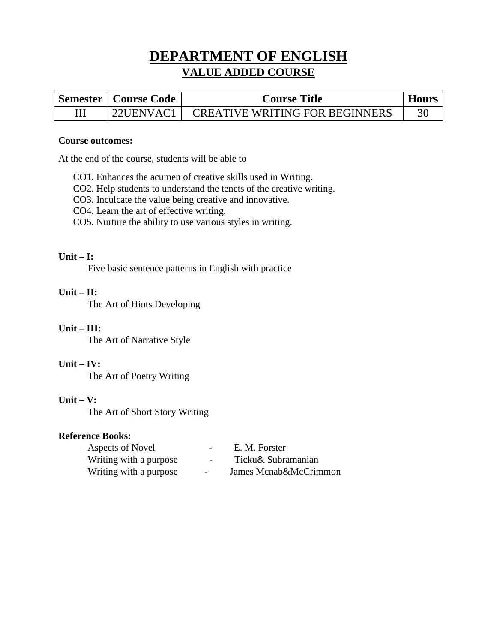# **DEPARTMENT OF ENGLISH VALUE ADDED COURSE**

| Semester   Course Code | <b>Course Title</b>                   | Hours |
|------------------------|---------------------------------------|-------|
| $22$ UENVAC1           | <b>CREATIVE WRITING FOR BEGINNERS</b> |       |

#### **Course outcomes:**

At the end of the course, students will be able to

- CO1. Enhances the acumen of creative skills used in Writing.
- CO2. Help students to understand the tenets of the creative writing.
- CO3. Inculcate the value being creative and innovative.
- CO4. Learn the art of effective writing.
- CO5. Nurture the ability to use various styles in writing.

### **Unit – I:**

Five basic sentence patterns in English with practice

### **Unit – II:**

The Art of Hints Developing

### **Unit – III:**

The Art of Narrative Style

### **Unit – IV:**

The Art of Poetry Writing

### **Unit – V:**

The Art of Short Story Writing

### **Reference Books:**

| Aspects of Novel       |                          | E. M. Forster         |
|------------------------|--------------------------|-----------------------|
| Writing with a purpose |                          | Ticku& Subramanian    |
| Writing with a purpose | $\overline{\phantom{0}}$ | James Mcnab&McCrimmon |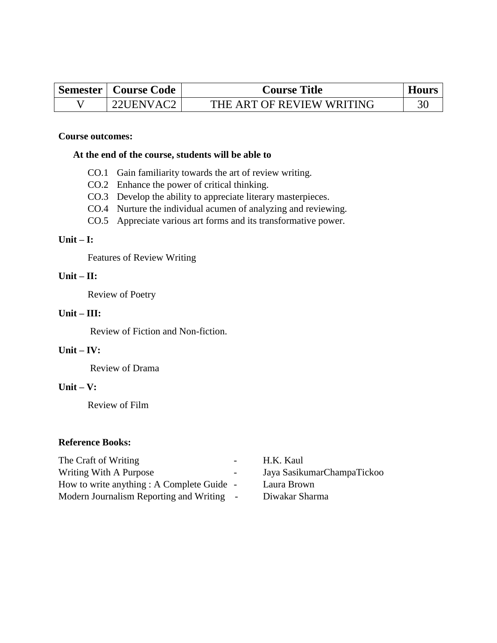| <b>Semester   Course Code  </b> | <b>Course Title</b>       | <b>Hours</b> |
|---------------------------------|---------------------------|--------------|
| 22HENVAC2                       | THE ART OF REVIEW WRITING |              |

#### **Course outcomes:**

#### **At the end of the course, students will be able to**

- CO.1 Gain familiarity towards the art of review writing.
- CO.2 Enhance the power of critical thinking.
- CO.3 Develop the ability to appreciate literary masterpieces.
- CO.4 Nurture the individual acumen of analyzing and reviewing.
- CO.5 Appreciate various art forms and its transformative power.

#### **Unit – I:**

Features of Review Writing

### **Unit – II:**

Review of Poetry

#### **Unit – III:**

Review of Fiction and Non-fiction.

### **Unit – IV:**

Review of Drama

#### **Unit – V:**

Review of Film

#### **Reference Books:**

The Craft of Writing The Craft of Writing The Craft of Writing The Craft of Writing The Craft of Writing The Craft of Writing The Craft of Writing The Craft of Writing Theorem 2012 Writing With A Purpose **Figure 2** Jaya SasikumarChampaTickoo How to write anything : A Complete Guide - Laura Brown Modern Journalism Reporting and Writing - Diwakar Sharma

- 
-